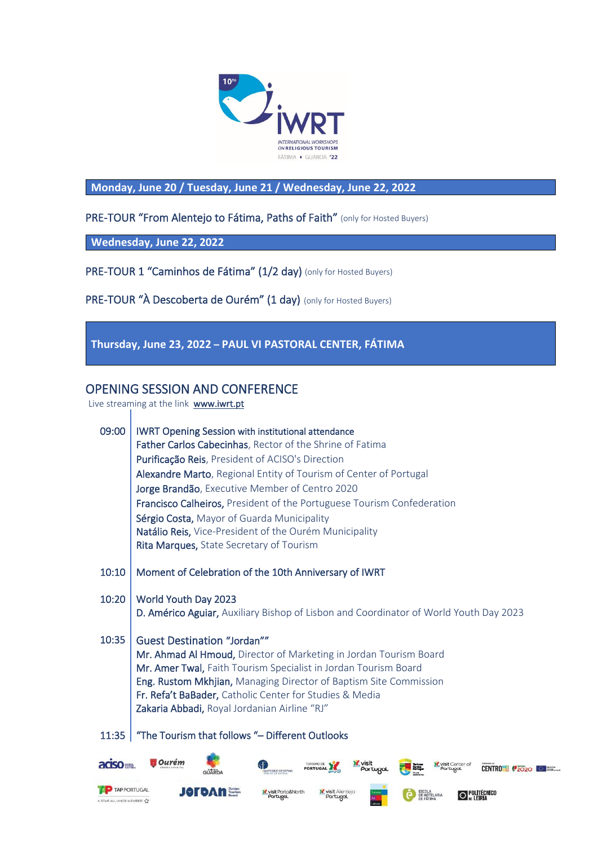

**Monday, June 20 / Tuesday, June 21 / Wednesday, June 22, 2022**

PRE-TOUR "From Alentejo to Fátima, Paths of Faith" (only for Hosted Buyers)

**Wednesday, June 22, 2022**

PRE-TOUR 1 "Caminhos de Fátima" (1/2 day) (only for Hosted Buyers)

PRE-TOUR "À Descoberta de Ourém" (1 day) (only for Hosted Buyers)

### **Thursday, June 23, 2022 – PAUL VI PASTORAL CENTER, FÁTIMA**

#### OPENING SESSION AND CONFERENCE

Live streaming at the link  $www.iurt{\cdot}pt$ 

| 09:00                                           | <b>IWRT Opening Session with institutional attendance</b><br>Father Carlos Cabecinhas, Rector of the Shrine of Fatima<br>Purificação Reis, President of ACISO's Direction<br>Alexandre Marto, Regional Entity of Tourism of Center of Portugal<br>Jorge Brandão, Executive Member of Centro 2020<br><b>Francisco Calheiros, President of the Portuguese Tourism Confederation</b><br>Sérgio Costa, Mayor of Guarda Municipality<br>Natálio Reis, Vice-President of the Ourém Municipality<br>Rita Marques, State Secretary of Tourism |
|-------------------------------------------------|---------------------------------------------------------------------------------------------------------------------------------------------------------------------------------------------------------------------------------------------------------------------------------------------------------------------------------------------------------------------------------------------------------------------------------------------------------------------------------------------------------------------------------------|
| 10:10                                           | Moment of Celebration of the 10th Anniversary of IWRT                                                                                                                                                                                                                                                                                                                                                                                                                                                                                 |
| 10:20                                           | World Youth Day 2023<br>D. Américo Aguiar, Auxiliary Bishop of Lisbon and Coordinator of World Youth Day 2023                                                                                                                                                                                                                                                                                                                                                                                                                         |
| 10:35                                           | <b>Guest Destination "Jordan"</b><br>Mr. Ahmad Al Hmoud, Director of Marketing in Jordan Tourism Board<br>Mr. Amer Twal, Faith Tourism Specialist in Jordan Tourism Board<br>Eng. Rustom Mkhjian, Managing Director of Baptism Site Commission<br>Fr. Refa't BaBader, Catholic Center for Studies & Media<br>Zakaria Abbadi, Royal Jordanian Airline "RJ"                                                                                                                                                                             |
| 11:35                                           | "The Tourism that follows "- Different Outlooks                                                                                                                                                                                                                                                                                                                                                                                                                                                                                       |
| aciso ==                                        | Ourem<br><b>K</b> visit<br>TURISMO DE<br><b>Visit Center of</b><br><b>CENTRO<sup>218</sup> (2020)</b><br><b>PORTUGAL</b><br>Portugal<br>Portugal<br><b>NTUÁRIO DE FÁTIMA</b>                                                                                                                                                                                                                                                                                                                                                          |
| <b>TAP PORTUGAL</b><br>A STAR ALLIANCE MEMBER Y | visit Alentejo<br>visit Porto&North<br>ESCOLA<br>DE HOTELARIA<br>POLITÉCNICO<br>Portugal<br>Portugal<br>DE LEIRIA                                                                                                                                                                                                                                                                                                                                                                                                                     |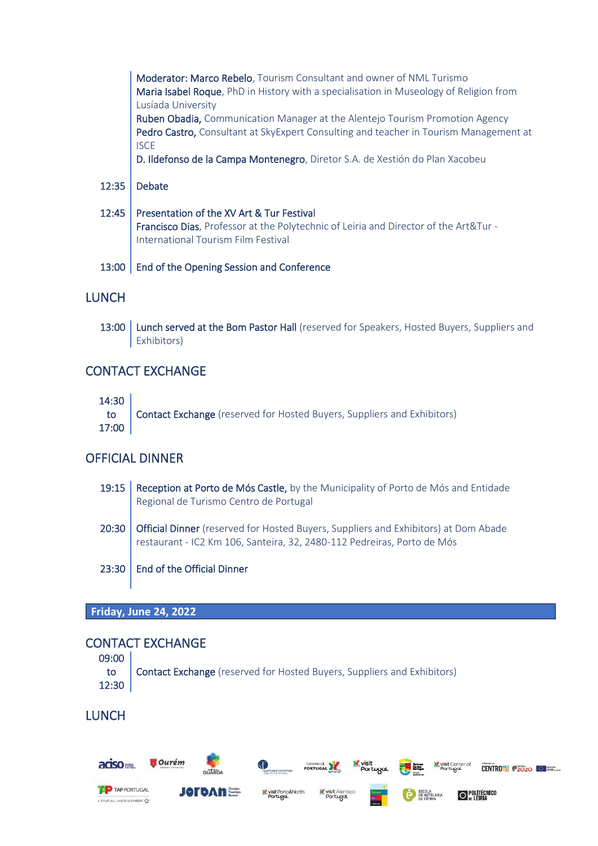|       | Moderator: Marco Rebelo, Tourism Consultant and owner of NML Turismo<br>Maria Isabel Roque, PhD in History with a specialisation in Museology of Religion from |
|-------|----------------------------------------------------------------------------------------------------------------------------------------------------------------|
|       | Lusíada University                                                                                                                                             |
|       | Ruben Obadia, Communication Manager at the Alentejo Tourism Promotion Agency                                                                                   |
|       | Pedro Castro, Consultant at SkyExpert Consulting and teacher in Tourism Management at<br><b>ISCE</b>                                                           |
|       | D. Ildefonso de la Campa Montenegro, Diretor S.A. de Xestión do Plan Xacobeu                                                                                   |
|       |                                                                                                                                                                |
| 12:35 | <b>Debate</b>                                                                                                                                                  |
|       | 12:45   Presentation of the XV Art & Tur Festival                                                                                                              |
|       | Francisco Dias, Professor at the Polytechnic of Leiria and Director of the Art&Tur -<br><b>International Tourism Film Festival</b>                             |
| 13:00 | End of the Opening Session and Conference                                                                                                                      |

# **LUNCH**

13:00 Lunch served at the Bom Pastor Hall (reserved for Speakers, Hosted Buyers, Suppliers and Exhibitors)

### CONTACT EXCHANGE

14:30

to 17:00 Contact Exchange (reserved for Hosted Buyers, Suppliers and Exhibitors)

# OFFICIAL DINNER

19:15 Reception at Porto de Mós Castle, by the Municipality of Porto de Mós and Entidade Regional de Turismo Centro de Portugal 20:30 Official Dinner (reserved for Hosted Buyers, Suppliers and Exhibitors) at Dom Abade restaurant - IC2 Km 106, Santeira, 32, 2480-112 Pedreiras, Porto de Mós 23:30 | End of the Official Dinner

**Friday, June 24, 2022**

# CONTACT EXCHANGE

| 09:00 |                                                                                   |
|-------|-----------------------------------------------------------------------------------|
| 12:30 | <b>to Contact Exchange</b> (reserved for Hosted Buyers, Suppliers and Exhibitors) |

# **LUNCH**

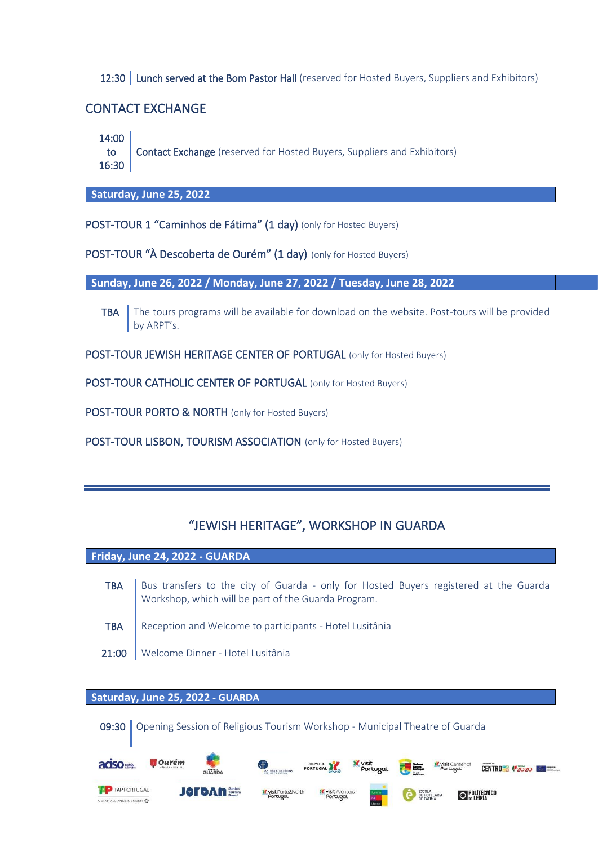12:30 Lunch served at the Bom Pastor Hall (reserved for Hosted Buyers, Suppliers and Exhibitors)

#### CONTACT EXCHANGE

14:00

to 16:30 Contact Exchange (reserved for Hosted Buyers, Suppliers and Exhibitors)

**Saturday, June 25, 2022**

POST-TOUR 1 "Caminhos de Fátima" (1 day) (only for Hosted Buyers)

POST-TOUR "À Descoberta de Ourém" (1 day) (only for Hosted Buyers)

**Sunday, June 26, 2022 / Monday, June 27, 2022 / Tuesday, June 28, 2022**

- TBA The tours programs will be available for download on the website. Post-tours will be provided by ARPT's.
- POST-TOUR JEWISH HERITAGE CENTER OF PORTUGAL (only for Hosted Buyers)

POST-TOUR CATHOLIC CENTER OF PORTUGAL (only for Hosted Buyers)

POST-TOUR PORTO & NORTH (only for Hosted Buyers)

POST-TOUR LISBON, TOURISM ASSOCIATION (only for Hosted Buyers)

# "JEWISH HERITAGE", WORKSHOP IN GUARDA

**Friday, June 24, 2022 - GUARDA**

- TBA Bus transfers to the city of Guarda only for Hosted Buyers registered at the Guarda Workshop, which will be part of the Guarda Program. TBA Reception and Welcome to participants - Hotel Lusitânia
- 21:00 | Welcome Dinner Hotel Lusitânia

### **Saturday, June 25, 2022 - GUARDA**